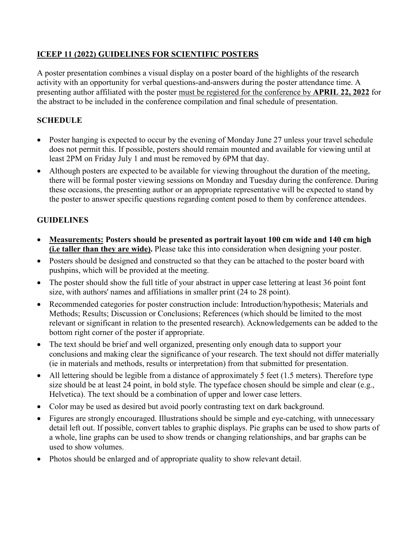## **ICEEP 11 (2022) GUIDELINES FOR SCIENTIFIC POSTERS**

A poster presentation combines a visual display on a poster board of the highlights of the research activity with an opportunity for verbal questions-and-answers during the poster attendance time. A presenting author affiliated with the poster must be registered for the conference by **APRIL 22, 2022** for the abstract to be included in the conference compilation and final schedule of presentation.

## **SCHEDULE**

- Poster hanging is expected to occur by the evening of Monday June 27 unless your travel schedule does not permit this. If possible, posters should remain mounted and available for viewing until at least 2PM on Friday July 1 and must be removed by 6PM that day.
- Although posters are expected to be available for viewing throughout the duration of the meeting, there will be formal poster viewing sessions on Monday and Tuesday during the conference. During these occasions, the presenting author or an appropriate representative will be expected to stand by the poster to answer specific questions regarding content posed to them by conference attendees.

## **GUIDELINES**

- **Measurements: Posters should be presented as portrait layout 100 cm wide and 140 cm high (i.e taller than they are wide).** Please take this into consideration when designing your poster.
- Posters should be designed and constructed so that they can be attached to the poster board with pushpins, which will be provided at the meeting.
- The poster should show the full title of your abstract in upper case lettering at least 36 point font size, with authors' names and affiliations in smaller print (24 to 28 point).
- Recommended categories for poster construction include: Introduction/hypothesis; Materials and Methods; Results; Discussion or Conclusions; References (which should be limited to the most relevant or significant in relation to the presented research). Acknowledgements can be added to the bottom right corner of the poster if appropriate.
- The text should be brief and well organized, presenting only enough data to support your conclusions and making clear the significance of your research. The text should not differ materially (ie in materials and methods, results or interpretation) from that submitted for presentation.
- All lettering should be legible from a distance of approximately 5 feet (1.5 meters). Therefore type size should be at least 24 point, in bold style. The typeface chosen should be simple and clear (e.g., Helvetica). The text should be a combination of upper and lower case letters.
- Color may be used as desired but avoid poorly contrasting text on dark background.
- Figures are strongly encouraged. Illustrations should be simple and eye-catching, with unnecessary detail left out. If possible, convert tables to graphic displays. Pie graphs can be used to show parts of a whole, line graphs can be used to show trends or changing relationships, and bar graphs can be used to show volumes.
- Photos should be enlarged and of appropriate quality to show relevant detail.